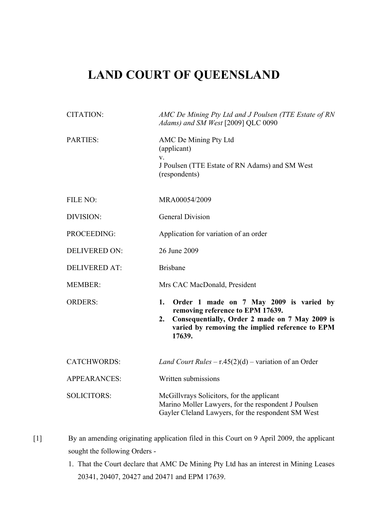## **LAND COURT OF QUEENSLAND**

| <b>CITATION:</b>     | AMC De Mining Pty Ltd and J Poulsen (TTE Estate of RN<br>Adams) and SM West [2009] QLC 0090                                                                                                            |
|----------------------|--------------------------------------------------------------------------------------------------------------------------------------------------------------------------------------------------------|
| PARTIES:             | AMC De Mining Pty Ltd<br>(applicant)<br>V.<br>J Poulsen (TTE Estate of RN Adams) and SM West<br>(respondents)                                                                                          |
| FILE NO:             | MRA00054/2009                                                                                                                                                                                          |
| DIVISION:            | <b>General Division</b>                                                                                                                                                                                |
| PROCEEDING:          | Application for variation of an order                                                                                                                                                                  |
| <b>DELIVERED ON:</b> | 26 June 2009                                                                                                                                                                                           |
| <b>DELIVERED AT:</b> | <b>Brisbane</b>                                                                                                                                                                                        |
| <b>MEMBER:</b>       | Mrs CAC MacDonald, President                                                                                                                                                                           |
| <b>ORDERS:</b>       | 1.<br>Order 1 made on 7 May 2009 is varied by<br>removing reference to EPM 17639.<br>Consequentially, Order 2 made on 7 May 2009 is<br>2.<br>varied by removing the implied reference to EPM<br>17639. |
| <b>CATCHWORDS:</b>   | Land Court Rules – $r.45(2)(d)$ – variation of an Order                                                                                                                                                |
| <b>APPEARANCES:</b>  | Written submissions                                                                                                                                                                                    |
| <b>SOLICITORS:</b>   | McGillyrays Solicitors, for the applicant<br>Marino Moller Lawyers, for the respondent J Poulsen<br>Gayler Cleland Lawyers, for the respondent SM West                                                 |

- [1] By an amending originating application filed in this Court on 9 April 2009, the applicant sought the following Orders -
	- 1. That the Court declare that AMC De Mining Pty Ltd has an interest in Mining Leases 20341, 20407, 20427 and 20471 and EPM 17639.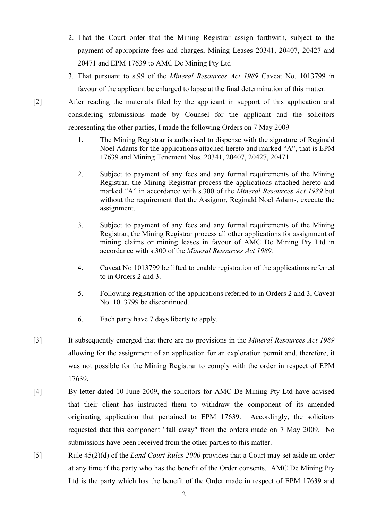- 2. That the Court order that the Mining Registrar assign forthwith, subject to the payment of appropriate fees and charges, Mining Leases 20341, 20407, 20427 and 20471 and EPM 17639 to AMC De Mining Pty Ltd
- 3. That pursuant to s.99 of the *Mineral Resources Act 1989* Caveat No. 1013799 in favour of the applicant be enlarged to lapse at the final determination of this matter.

[2] After reading the materials filed by the applicant in support of this application and considering submissions made by Counsel for the applicant and the solicitors representing the other parties, I made the following Orders on 7 May 2009 -

- 1. The Mining Registrar is authorised to dispense with the signature of Reginald Noel Adams for the applications attached hereto and marked "A", that is EPM 17639 and Mining Tenement Nos. 20341, 20407, 20427, 20471.
- 2. Subject to payment of any fees and any formal requirements of the Mining Registrar, the Mining Registrar process the applications attached hereto and marked "A" in accordance with s.300 of the *Mineral Resources Act 1989* but without the requirement that the Assignor, Reginald Noel Adams, execute the assignment.
- 3. Subject to payment of any fees and any formal requirements of the Mining Registrar, the Mining Registrar process all other applications for assignment of mining claims or mining leases in favour of AMC De Mining Pty Ltd in accordance with s.300 of the *Mineral Resources Act 1989.*
- 4. Caveat No 1013799 be lifted to enable registration of the applications referred to in Orders 2 and 3.
- 5. Following registration of the applications referred to in Orders 2 and 3, Caveat No. 1013799 be discontinued.
- 6. Each party have 7 days liberty to apply.
- [3] It subsequently emerged that there are no provisions in the *Mineral Resources Act 1989* allowing for the assignment of an application for an exploration permit and, therefore, it was not possible for the Mining Registrar to comply with the order in respect of EPM 17639.
- [4] By letter dated 10 June 2009, the solicitors for AMC De Mining Pty Ltd have advised that their client has instructed them to withdraw the component of its amended originating application that pertained to EPM 17639. Accordingly, the solicitors requested that this component "fall away" from the orders made on 7 May 2009. No submissions have been received from the other parties to this matter.
- [5] Rule 45(2)(d) of the *Land Court Rules 2000* provides that a Court may set aside an order at any time if the party who has the benefit of the Order consents. AMC De Mining Pty Ltd is the party which has the benefit of the Order made in respect of EPM 17639 and

2